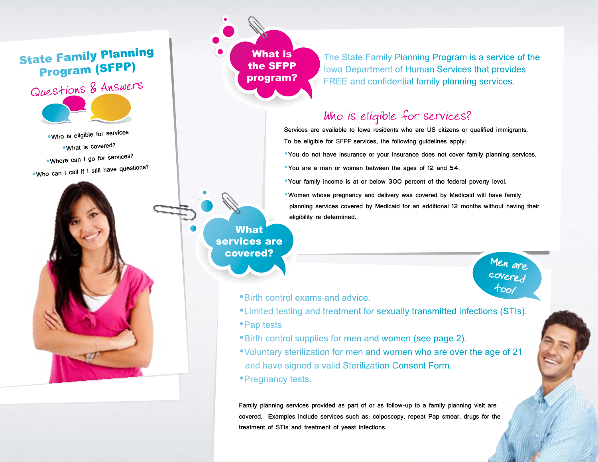## State Family Planning Program (SFPP)



Who is eligible for services What is covered? Where can I go for services? Who can I call if I still have questions?



The State Family Planning Program is a service of the Iowa Department of Human Services that provides FREE and confidential family planning services.

## Who is eligible for services?

Services are available to Iowa residents who are US citizens or qualified immigrants. To be eligible for SFPP services, the following guidelines apply:

You do not have insurance or your insurance does not cover family planning services.

You are a man or woman between the ages of 12 and 54.

Your family income is at or below 300 percent of the federal poverty level.

Women whose pregnancy and delivery was covered by Medicaid will have family planning services covered by Medicaid for an additional 12 months without having their eligibility re-determined.

> Men are covered too/

Birth control exams and advice.

- Limited testing and treatment for sexually transmitted infections (STIs).
- Pap tests

What services are covered?

- Birth control supplies for men and women (see page 2).
- Voluntary sterilization for men and women who are over the age of 21 and have signed a valid Sterilization Consent Form.
- Pregnancy tests.

Family planning services provided as part of or as follow-up to a family planning visit are covered. Examples include services such as: colposcopy, repeat Pap smear, drugs for the treatment of STIs and treatment of yeast infections.